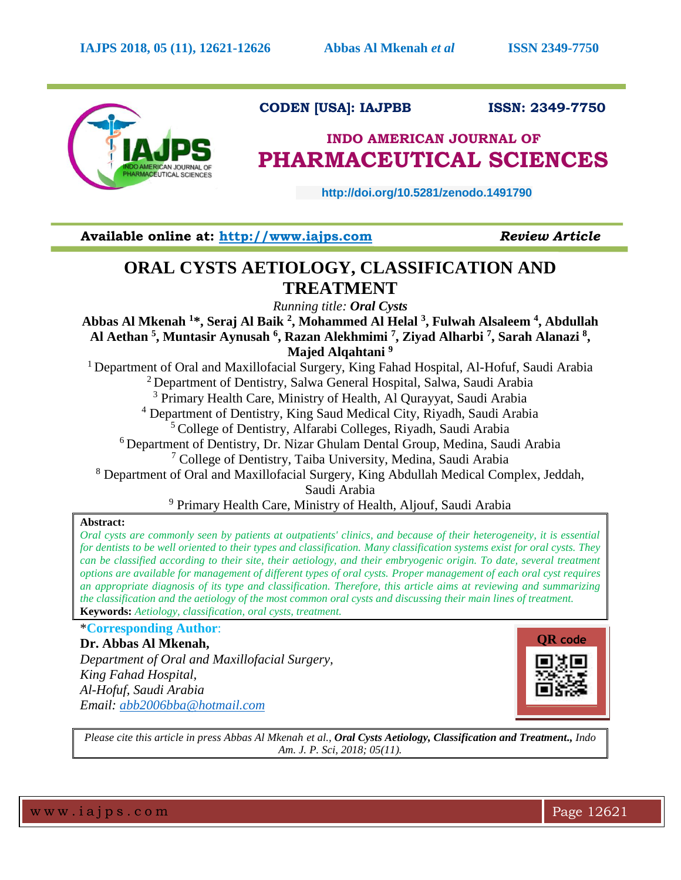

# **CODEN [USA]: IAJPBB ISSN: 2349-7750**

# **INDO AMERICAN JOURNAL OF PHARMACEUTICAL SCIENCES**

 **http://doi.org/10.5281/zenodo.1491790** 

**Available online at: [http://www.iajps.com](http://www.iajps.com/)** *Review Article*

# **ORAL CYSTS AETIOLOGY, CLASSIFICATION AND TREATMENT**

*Running title: Oral Cysts*

**Abbas Al Mkenah <sup>1</sup>\*, Seraj Al Baik <sup>2</sup> , Mohammed Al Helal <sup>3</sup> , Fulwah Alsaleem <sup>4</sup> , Abdullah Al Aethan <sup>5</sup> , Muntasir Aynusah <sup>6</sup> , Razan Alekhmimi <sup>7</sup> , Ziyad Alharbi <sup>7</sup> , Sarah Alanazi <sup>8</sup> , Majed Alqahtani <sup>9</sup>**

<sup>1</sup> Department of Oral and Maxillofacial Surgery, King Fahad Hospital, Al-Hofuf, Saudi Arabia <sup>2</sup> Department of Dentistry, Salwa General Hospital, Salwa, Saudi Arabia <sup>3</sup> Primary Health Care, Ministry of Health, Al Qurayyat, Saudi Arabia <sup>4</sup> Department of Dentistry, King Saud Medical City, Riyadh, Saudi Arabia <sup>5</sup> College of Dentistry, Alfarabi Colleges, Riyadh, Saudi Arabia <sup>6</sup> Department of Dentistry, Dr. Nizar Ghulam Dental Group, Medina, Saudi Arabia <sup>7</sup> College of Dentistry, Taiba University, Medina, Saudi Arabia <sup>8</sup> Department of Oral and Maxillofacial Surgery, King Abdullah Medical Complex, Jeddah, Saudi Arabia

<sup>9</sup> Primary Health Care, Ministry of Health, Aljouf, Saudi Arabia

# **Abstract:**

*Oral cysts are commonly seen by patients at outpatients' clinics, and because of their heterogeneity, it is essential for dentists to be well oriented to their types and classification. Many classification systems exist for oral cysts. They can be classified according to their site, their aetiology, and their embryogenic origin. To date, several treatment options are available for management of different types of oral cysts. Proper management of each oral cyst requires an appropriate diagnosis of its type and classification. Therefore, this article aims at reviewing and summarizing the classification and the aetiology of the most common oral cysts and discussing their main lines of treatment.*  **Keywords:** *Aetiology, classification, oral cysts, treatment.*

\***Corresponding Author**:

**Dr. Abbas Al Mkenah,** *Department of Oral and Maxillofacial Surgery, King Fahad Hospital, Al-Hofuf, Saudi Arabia Email: [abb2006bba@hotmail.com](mailto:abb2006bba@hotmail.com)*



*Please cite this article in press Abbas Al Mkenah et al., Oral Cysts Aetiology, Classification and Treatment., Indo Am. J. P. Sci, 2018; 05(11).*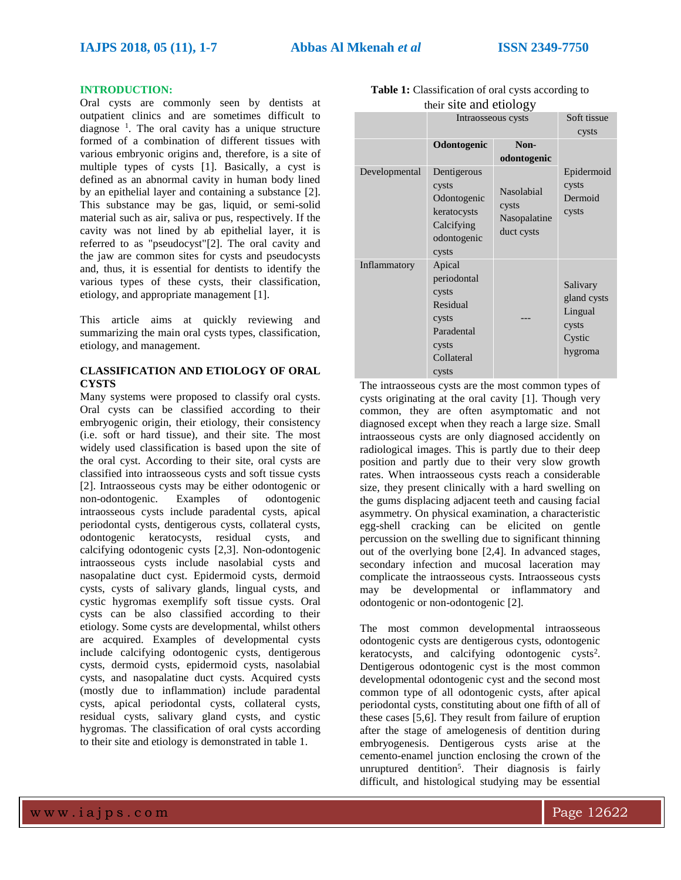## **INTRODUCTION:**

Oral cysts are commonly seen by dentists at outpatient clinics and are sometimes difficult to diagnose  $\frac{1}{1}$ . The oral cavity has a unique structure formed of a combination of different tissues with various embryonic origins and, therefore, is a site of multiple types of cysts [1]. Basically, a cyst is defined as an abnormal cavity in human body lined by an epithelial layer and containing a substance [2]. This substance may be gas, liquid, or semi-solid material such as air, saliva or pus, respectively. If the cavity was not lined by ab epithelial layer, it is referred to as "pseudocyst"[2]. The oral cavity and the jaw are common sites for cysts and pseudocysts and, thus, it is essential for dentists to identify the various types of these cysts, their classification, etiology, and appropriate management [1].

This article aims at quickly reviewing and summarizing the main oral cysts types, classification, etiology, and management.

# **CLASSIFICATION AND ETIOLOGY OF ORAL CYSTS**

Many systems were proposed to classify oral cysts. Oral cysts can be classified according to their embryogenic origin, their etiology, their consistency (i.e. soft or hard tissue), and their site. The most widely used classification is based upon the site of the oral cyst. According to their site, oral cysts are classified into intraosseous cysts and soft tissue cysts [2]. Intraosseous cysts may be either odontogenic or non-odontogenic. Examples of odontogenic intraosseous cysts include paradental cysts, apical periodontal cysts, dentigerous cysts, collateral cysts, odontogenic keratocysts, residual cysts, and calcifying odontogenic cysts [2,3]. Non-odontogenic intraosseous cysts include nasolabial cysts and nasopalatine duct cyst. Epidermoid cysts, dermoid cysts, cysts of salivary glands, lingual cysts, and cystic hygromas exemplify soft tissue cysts. Oral cysts can be also classified according to their etiology. Some cysts are developmental, whilst others are acquired. Examples of developmental cysts include calcifying odontogenic cysts, dentigerous cysts, dermoid cysts, epidermoid cysts, nasolabial cysts, and nasopalatine duct cysts. Acquired cysts (mostly due to inflammation) include paradental cysts, apical periodontal cysts, collateral cysts, residual cysts, salivary gland cysts, and cystic hygromas. The classification of oral cysts according to their site and etiology is demonstrated in table 1.

| $\frac{1}{2}$ |                                                                                                   |                                                   |                                                                  |
|---------------|---------------------------------------------------------------------------------------------------|---------------------------------------------------|------------------------------------------------------------------|
|               | Intraosseous cysts                                                                                |                                                   | Soft tissue                                                      |
|               |                                                                                                   |                                                   | cysts                                                            |
|               | Odontogenic                                                                                       | Non-<br>odontogenic                               |                                                                  |
| Developmental | Dentigerous<br>cysts<br>Odontogenic<br>keratocysts<br>Calcifying<br>odontogenic<br>cysts          | Nasolabial<br>cysts<br>Nasopalatine<br>duct cysts | Epidermoid<br>cysts<br>Dermoid<br>cysts                          |
| Inflammatory  | Apical<br>periodontal<br>cysts<br>Residual<br>cysts<br>Paradental<br>cysts<br>Collateral<br>cysts |                                                   | Salivary<br>gland cysts<br>Lingual<br>cysts<br>Cystic<br>hygroma |

| <b>Table 1:</b> Classification of oral cysts according to |
|-----------------------------------------------------------|
| their site and etiology                                   |

The intraosseous cysts are the most common types of cysts originating at the oral cavity [1]. Though very common, they are often asymptomatic and not diagnosed except when they reach a large size. Small intraosseous cysts are only diagnosed accidently on radiological images. This is partly due to their deep position and partly due to their very slow growth rates. When intraosseous cysts reach a considerable size, they present clinically with a hard swelling on the gums displacing adjacent teeth and causing facial asymmetry. On physical examination, a characteristic egg-shell cracking can be elicited on gentle percussion on the swelling due to significant thinning out of the overlying bone [2,4]. In advanced stages, secondary infection and mucosal laceration may complicate the intraosseous cysts. Intraosseous cysts may be developmental or inflammatory and odontogenic or non-odontogenic [2].

The most common developmental intraosseous odontogenic cysts are dentigerous cysts, odontogenic keratocysts, and calcifying odontogenic cysts<sup>2</sup>. Dentigerous odontogenic cyst is the most common developmental odontogenic cyst and the second most common type of all odontogenic cysts, after apical periodontal cysts, constituting about one fifth of all of these cases [5,6]. They result from failure of eruption after the stage of amelogenesis of dentition during embryogenesis. Dentigerous cysts arise at the cemento-enamel junction enclosing the crown of the unruptured dentition<sup>5</sup>. Their diagnosis is fairly difficult, and histological studying may be essential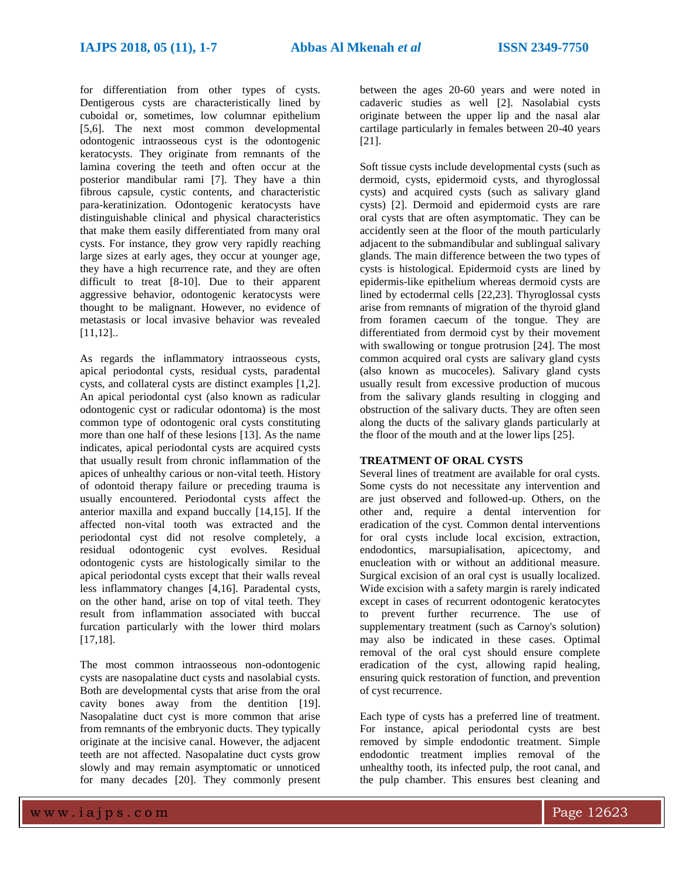for differentiation from other types of cysts. Dentigerous cysts are characteristically lined by cuboidal or, sometimes, low columnar epithelium [5,6]. The next most common developmental odontogenic intraosseous cyst is the odontogenic keratocysts. They originate from remnants of the lamina covering the teeth and often occur at the posterior mandibular rami [7]. They have a thin fibrous capsule, cystic contents, and characteristic para-keratinization. Odontogenic keratocysts have distinguishable clinical and physical characteristics that make them easily differentiated from many oral cysts. For instance, they grow very rapidly reaching large sizes at early ages, they occur at younger age, they have a high recurrence rate, and they are often difficult to treat [8-10]. Due to their apparent aggressive behavior, odontogenic keratocysts were thought to be malignant. However, no evidence of metastasis or local invasive behavior was revealed [11,12]..

As regards the inflammatory intraosseous cysts, apical periodontal cysts, residual cysts, paradental cysts, and collateral cysts are distinct examples [1,2]. An apical periodontal cyst (also known as radicular odontogenic cyst or radicular odontoma) is the most common type of odontogenic oral cysts constituting more than one half of these lesions [13]. As the name indicates, apical periodontal cysts are acquired cysts that usually result from chronic inflammation of the apices of unhealthy carious or non-vital teeth. History of odontoid therapy failure or preceding trauma is usually encountered. Periodontal cysts affect the anterior maxilla and expand buccally [14,15]. If the affected non-vital tooth was extracted and the periodontal cyst did not resolve completely, a residual odontogenic cyst evolves. Residual odontogenic cysts are histologically similar to the apical periodontal cysts except that their walls reveal less inflammatory changes [4,16]. Paradental cysts, on the other hand, arise on top of vital teeth. They result from inflammation associated with buccal furcation particularly with the lower third molars [17,18].

The most common intraosseous non-odontogenic cysts are nasopalatine duct cysts and nasolabial cysts. Both are developmental cysts that arise from the oral cavity bones away from the dentition [19]. Nasopalatine duct cyst is more common that arise from remnants of the embryonic ducts. They typically originate at the incisive canal. However, the adjacent teeth are not affected. Nasopalatine duct cysts grow slowly and may remain asymptomatic or unnoticed for many decades [20]. They commonly present

between the ages 20-60 years and were noted in cadaveric studies as well [2]. Nasolabial cysts originate between the upper lip and the nasal alar cartilage particularly in females between 20-40 years [21].

Soft tissue cysts include developmental cysts (such as dermoid, cysts, epidermoid cysts, and thyroglossal cysts) and acquired cysts (such as salivary gland cysts) [2]. Dermoid and epidermoid cysts are rare oral cysts that are often asymptomatic. They can be accidently seen at the floor of the mouth particularly adjacent to the submandibular and sublingual salivary glands. The main difference between the two types of cysts is histological. Epidermoid cysts are lined by epidermis-like epithelium whereas dermoid cysts are lined by ectodermal cells [22,23]. Thyroglossal cysts arise from remnants of migration of the thyroid gland from foramen caecum of the tongue. They are differentiated from dermoid cyst by their movement with swallowing or tongue protrusion [24]. The most common acquired oral cysts are salivary gland cysts (also known as mucoceles). Salivary gland cysts usually result from excessive production of mucous from the salivary glands resulting in clogging and obstruction of the salivary ducts. They are often seen along the ducts of the salivary glands particularly at the floor of the mouth and at the lower lips [25].

# **TREATMENT OF ORAL CYSTS**

Several lines of treatment are available for oral cysts. Some cysts do not necessitate any intervention and are just observed and followed-up. Others, on the other and, require a dental intervention for eradication of the cyst. Common dental interventions for oral cysts include local excision, extraction, endodontics, marsupialisation, apicectomy, and enucleation with or without an additional measure. Surgical excision of an oral cyst is usually localized. Wide excision with a safety margin is rarely indicated except in cases of recurrent odontogenic keratocytes to prevent further recurrence. The use of supplementary treatment (such as Carnoy's solution) may also be indicated in these cases. Optimal removal of the oral cyst should ensure complete eradication of the cyst, allowing rapid healing, ensuring quick restoration of function, and prevention of cyst recurrence.

Each type of cysts has a preferred line of treatment. For instance, apical periodontal cysts are best removed by simple endodontic treatment. Simple endodontic treatment implies removal of the unhealthy tooth, its infected pulp, the root canal, and the pulp chamber. This ensures best cleaning and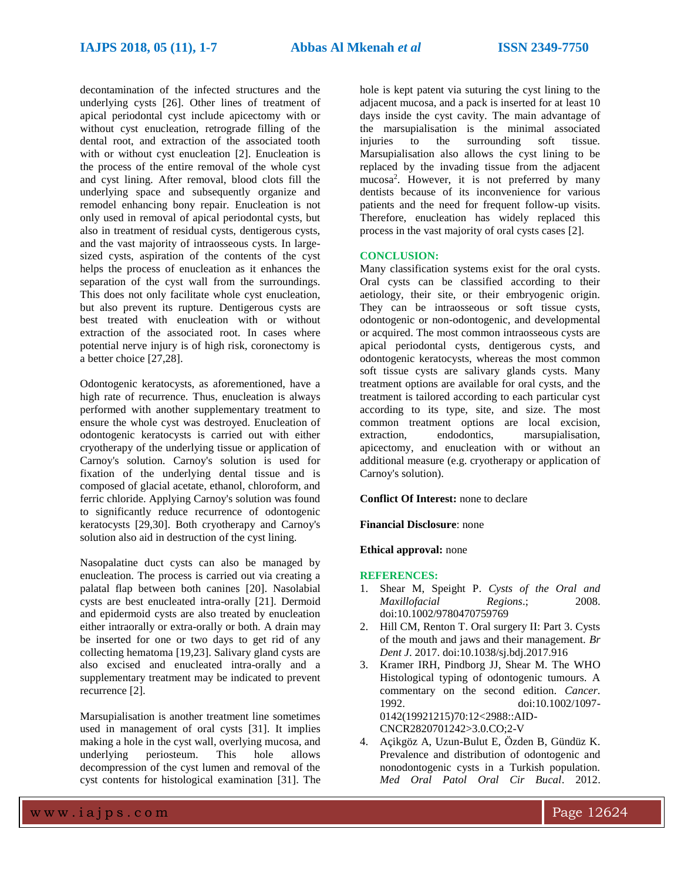decontamination of the infected structures and the underlying cysts [26]. Other lines of treatment of apical periodontal cyst include apicectomy with or without cyst enucleation, retrograde filling of the dental root, and extraction of the associated tooth with or without cyst enucleation [2]. Enucleation is the process of the entire removal of the whole cyst and cyst lining. After removal, blood clots fill the underlying space and subsequently organize and remodel enhancing bony repair. Enucleation is not only used in removal of apical periodontal cysts, but also in treatment of residual cysts, dentigerous cysts, and the vast majority of intraosseous cysts. In largesized cysts, aspiration of the contents of the cyst helps the process of enucleation as it enhances the separation of the cyst wall from the surroundings. This does not only facilitate whole cyst enucleation, but also prevent its rupture. Dentigerous cysts are best treated with enucleation with or without extraction of the associated root. In cases where potential nerve injury is of high risk, coronectomy is a better choice [27,28].

Odontogenic keratocysts, as aforementioned, have a high rate of recurrence. Thus, enucleation is always performed with another supplementary treatment to ensure the whole cyst was destroyed. Enucleation of odontogenic keratocysts is carried out with either cryotherapy of the underlying tissue or application of Carnoy's solution. Carnoy's solution is used for fixation of the underlying dental tissue and is composed of glacial acetate, ethanol, chloroform, and ferric chloride. Applying Carnoy's solution was found to significantly reduce recurrence of odontogenic keratocysts [29,30]. Both cryotherapy and Carnoy's solution also aid in destruction of the cyst lining.

Nasopalatine duct cysts can also be managed by enucleation. The process is carried out via creating a palatal flap between both canines [20]. Nasolabial cysts are best enucleated intra-orally [21]. Dermoid and epidermoid cysts are also treated by enucleation either intraorally or extra-orally or both. A drain may be inserted for one or two days to get rid of any collecting hematoma [19,23]. Salivary gland cysts are also excised and enucleated intra-orally and a supplementary treatment may be indicated to prevent recurrence [2].

Marsupialisation is another treatment line sometimes used in management of oral cysts [31]. It implies making a hole in the cyst wall, overlying mucosa, and underlying periosteum. This hole allows decompression of the cyst lumen and removal of the cyst contents for histological examination [31]. The

hole is kept patent via suturing the cyst lining to the adjacent mucosa, and a pack is inserted for at least 10 days inside the cyst cavity. The main advantage of the marsupialisation is the minimal associated injuries to the surrounding soft tissue. Marsupialisation also allows the cyst lining to be replaced by the invading tissue from the adjacent mucosa<sup>2</sup> . However, it is not preferred by many dentists because of its inconvenience for various patients and the need for frequent follow-up visits. Therefore, enucleation has widely replaced this process in the vast majority of oral cysts cases [2].

# **CONCLUSION:**

Many classification systems exist for the oral cysts. Oral cysts can be classified according to their aetiology, their site, or their embryogenic origin. They can be intraosseous or soft tissue cysts, odontogenic or non-odontogenic, and developmental or acquired. The most common intraosseous cysts are apical periodontal cysts, dentigerous cysts, and odontogenic keratocysts, whereas the most common soft tissue cysts are salivary glands cysts. Many treatment options are available for oral cysts, and the treatment is tailored according to each particular cyst according to its type, site, and size. The most common treatment options are local excision, extraction, endodontics, marsupialisation, apicectomy, and enucleation with or without an additional measure (e.g. cryotherapy or application of Carnoy's solution).

## **Conflict Of Interest:** none to declare

## **Financial Disclosure**: none

#### **Ethical approval:** none

## **REFERENCES:**

- 1. Shear M, Speight P. *Cysts of the Oral and Maxillofacial Regions*.; 2008. doi:10.1002/9780470759769
- 2. Hill CM, Renton T. Oral surgery II: Part 3. Cysts of the mouth and jaws and their management. *Br Dent J*. 2017. doi:10.1038/sj.bdj.2017.916
- 3. Kramer IRH, Pindborg JJ, Shear M. The WHO Histological typing of odontogenic tumours. A commentary on the second edition. *Cancer*. 1992. doi:10.1002/1097- 0142(19921215)70:12<2988::AID-CNCR2820701242>3.0.CO;2-V
- 4. Açikgöz A, Uzun-Bulut E, Özden B, Gündüz K. Prevalence and distribution of odontogenic and nonodontogenic cysts in a Turkish population. *Med Oral Patol Oral Cir Bucal*. 2012.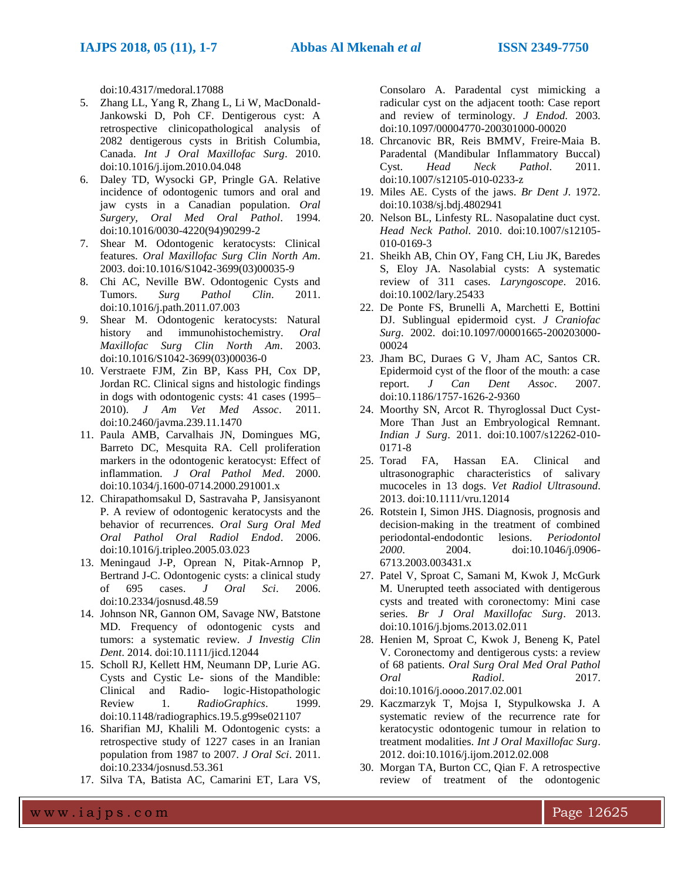doi:10.4317/medoral.17088

- 5. Zhang LL, Yang R, Zhang L, Li W, MacDonald-Jankowski D, Poh CF. Dentigerous cyst: A retrospective clinicopathological analysis of 2082 dentigerous cysts in British Columbia, Canada. *Int J Oral Maxillofac Surg*. 2010. doi:10.1016/j.ijom.2010.04.048
- 6. Daley TD, Wysocki GP, Pringle GA. Relative incidence of odontogenic tumors and oral and jaw cysts in a Canadian population. *Oral Surgery, Oral Med Oral Pathol*. 1994. doi:10.1016/0030-4220(94)90299-2
- 7. Shear M. Odontogenic keratocysts: Clinical features. *Oral Maxillofac Surg Clin North Am*. 2003. doi:10.1016/S1042-3699(03)00035-9
- 8. Chi AC, Neville BW. Odontogenic Cysts and Tumors. *Surg Pathol Clin*. 2011. doi:10.1016/j.path.2011.07.003
- 9. Shear M. Odontogenic keratocysts: Natural history and immunohistochemistry. *Oral Maxillofac Surg Clin North Am*. 2003. doi:10.1016/S1042-3699(03)00036-0
- 10. Verstraete FJM, Zin BP, Kass PH, Cox DP, Jordan RC. Clinical signs and histologic findings in dogs with odontogenic cysts: 41 cases (1995– 2010). *J Am Vet Med Assoc*. 2011. doi:10.2460/javma.239.11.1470
- 11. Paula AMB, Carvalhais JN, Domingues MG, Barreto DC, Mesquita RA. Cell proliferation markers in the odontogenic keratocyst: Effect of inflammation. *J Oral Pathol Med*. 2000. doi:10.1034/j.1600-0714.2000.291001.x
- 12. Chirapathomsakul D, Sastravaha P, Jansisyanont P. A review of odontogenic keratocysts and the behavior of recurrences. *Oral Surg Oral Med Oral Pathol Oral Radiol Endod*. 2006. doi:10.1016/j.tripleo.2005.03.023
- 13. Meningaud J-P, Oprean N, Pitak-Arnnop P, Bertrand J-C. Odontogenic cysts: a clinical study of 695 cases. *J Oral Sci*. 2006. doi:10.2334/josnusd.48.59
- 14. Johnson NR, Gannon OM, Savage NW, Batstone MD. Frequency of odontogenic cysts and tumors: a systematic review. *J Investig Clin Dent*. 2014. doi:10.1111/jicd.12044
- 15. Scholl RJ, Kellett HM, Neumann DP, Lurie AG. Cysts and Cystic Le- sions of the Mandible: Clinical and Radio- logic-Histopathologic Review 1. *RadioGraphics*. 1999. doi:10.1148/radiographics.19.5.g99se021107
- 16. Sharifian MJ, Khalili M. Odontogenic cysts: a retrospective study of 1227 cases in an Iranian population from 1987 to 2007. *J Oral Sci*. 2011. doi:10.2334/josnusd.53.361
- 17. Silva TA, Batista AC, Camarini ET, Lara VS,

Consolaro A. Paradental cyst mimicking a radicular cyst on the adjacent tooth: Case report and review of terminology. *J Endod*. 2003. doi:10.1097/00004770-200301000-00020

- 18. Chrcanovic BR, Reis BMMV, Freire-Maia B. Paradental (Mandibular Inflammatory Buccal) Cyst. *Head Neck Pathol*. 2011. doi:10.1007/s12105-010-0233-z
- 19. Miles AE. Cysts of the jaws. *Br Dent J*. 1972. doi:10.1038/sj.bdj.4802941
- 20. Nelson BL, Linfesty RL. Nasopalatine duct cyst. *Head Neck Pathol*. 2010. doi:10.1007/s12105- 010-0169-3
- 21. Sheikh AB, Chin OY, Fang CH, Liu JK, Baredes S, Eloy JA. Nasolabial cysts: A systematic review of 311 cases. *Laryngoscope*. 2016. doi:10.1002/lary.25433
- 22. De Ponte FS, Brunelli A, Marchetti E, Bottini DJ. Sublingual epidermoid cyst. *J Craniofac Surg*. 2002. doi:10.1097/00001665-200203000- 00024
- 23. Jham BC, Duraes G V, Jham AC, Santos CR. Epidermoid cyst of the floor of the mouth: a case report. *J Can Dent Assoc*. 2007. doi:10.1186/1757-1626-2-9360
- 24. Moorthy SN, Arcot R. Thyroglossal Duct Cyst-More Than Just an Embryological Remnant. *Indian J Surg*. 2011. doi:10.1007/s12262-010- 0171-8
- 25. Torad FA, Hassan EA. Clinical and ultrasonographic characteristics of salivary mucoceles in 13 dogs. *Vet Radiol Ultrasound*. 2013. doi:10.1111/vru.12014
- 26. Rotstein I, Simon JHS. Diagnosis, prognosis and decision-making in the treatment of combined periodontal-endodontic lesions. *Periodontol 2000*. 2004. doi:10.1046/j.0906- 6713.2003.003431.x
- 27. Patel V, Sproat C, Samani M, Kwok J, McGurk M. Unerupted teeth associated with dentigerous cysts and treated with coronectomy: Mini case series. *Br J Oral Maxillofac Surg*. 2013. doi:10.1016/j.bjoms.2013.02.011
- 28. Henien M, Sproat C, Kwok J, Beneng K, Patel V. Coronectomy and dentigerous cysts: a review of 68 patients. *Oral Surg Oral Med Oral Pathol Oral Radiol*. 2017. doi:10.1016/j.oooo.2017.02.001
- 29. Kaczmarzyk T, Mojsa I, Stypulkowska J. A systematic review of the recurrence rate for keratocystic odontogenic tumour in relation to treatment modalities. *Int J Oral Maxillofac Surg*. 2012. doi:10.1016/j.ijom.2012.02.008
- 30. Morgan TA, Burton CC, Qian F. A retrospective review of treatment of the odontogenic